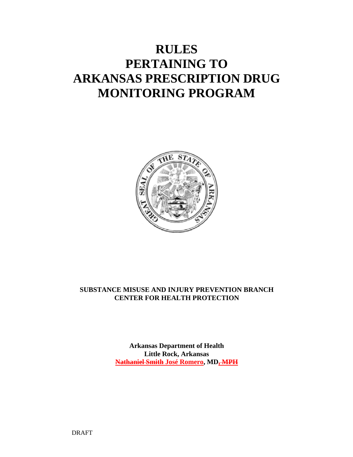# **RULES PERTAINING TO ARKANSAS PRESCRIPTION DRUG MONITORING PROGRAM**



## **SUBSTANCE MISUSE AND INJURY PREVENTION BRANCH CENTER FOR HEALTH PROTECTION**

**Arkansas Department of Health Little Rock, Arkansas Nathaniel Smith José Romero, MD, MPH**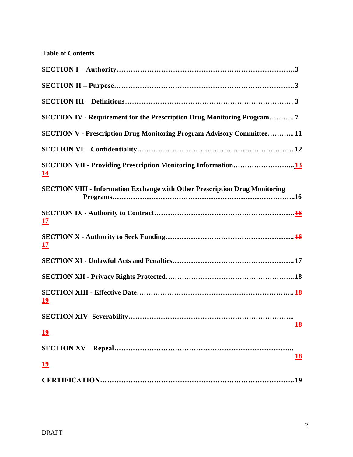|  |  | <b>Table of Contents</b> |
|--|--|--------------------------|
|--|--|--------------------------|

| SECTION IV - Requirement for the Prescription Drug Monitoring Program7             |
|------------------------------------------------------------------------------------|
| <b>SECTION V - Prescription Drug Monitoring Program Advisory Committee11</b>       |
|                                                                                    |
| <u> 14</u>                                                                         |
| <b>SECTION VIII - Information Exchange with Other Prescription Drug Monitoring</b> |
| <u>17</u>                                                                          |
| <u> 17</u>                                                                         |
|                                                                                    |
|                                                                                    |
| <u> 19</u>                                                                         |
|                                                                                    |
| $\frac{18}{10}$<br><u>19</u>                                                       |
|                                                                                    |
| $\frac{18}{10}$<br><u>19</u>                                                       |
| .19                                                                                |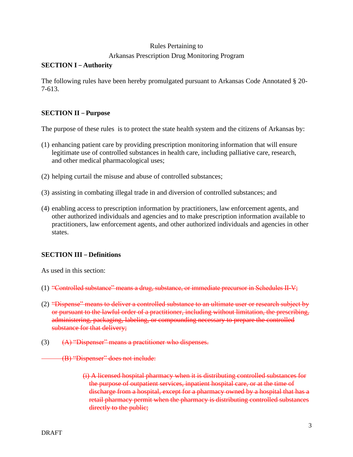## Rules Pertaining to Arkansas Prescription Drug Monitoring Program

## **SECTION I – Authority**

The following rules have been hereby promulgated pursuant to Arkansas Code Annotated § 20- 7-613.

## **SECTION II – Purpose**

The purpose of these rules is to protect the state health system and the citizens of Arkansas by:

- (1) enhancing patient care by providing prescription monitoring information that will ensure legitimate use of controlled substances in health care, including palliative care, research, and other medical pharmacological uses;
- (2) helping curtail the misuse and abuse of controlled substances;
- (3) assisting in combating illegal trade in and diversion of controlled substances; and
- (4) enabling access to prescription information by practitioners, law enforcement agents, and other authorized individuals and agencies and to make prescription information available to practitioners, law enforcement agents, and other authorized individuals and agencies in other states.

## **SECTION III – Definitions**

As used in this section:

- (1) "Controlled substance" means a drug, substance, or immediate precursor in Schedules II-V;
- (2) "Dispense" means to deliver a controlled substance to an ultimate user or research subject by or pursuant to the lawful order of a practitioner, including without limitation, the prescribing, administering, packaging, labeling, or compounding necessary to prepare the controlled substance for that delivery;
- (3)  $(A)$  "Dispenser" means a practitioner who dispenses.

(B) "Dispenser" does not include:

(i) A licensed hospital pharmacy when it is distributing controlled substances for the purpose of outpatient services, inpatient hospital care, or at the time of discharge from a hospital, except for a pharmacy owned by a hospital that has a retail pharmacy permit when the pharmacy is distributing controlled substances directly to the public;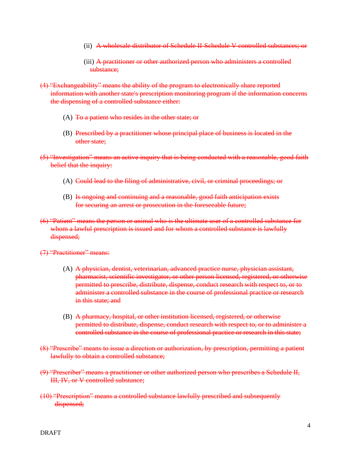- (ii) A wholesale distributor of Schedule II-Schedule V controlled substances; or
- (iii) A practitioner or other authorized person who administers a controlled substance:
- (4) "Exchangeability" means the ability of the program to electronically share reported information with another state's prescription monitoring program if the information concerns the dispensing of a controlled substance either:
	- (A)  $\overline{10}$  a patient who resides in the other state; or
	- (B) Prescribed by a practitioner whose principal place of business is located in the other state;
- (5) "Investigation" means an active inquiry that is being conducted with a reasonable, good faith belief that the inquiry:
	- (A) Could lead to the filing of administrative, civil, or criminal proceedings; or
	- (B) Is ongoing and continuing and a reasonable, good faith anticipation exists for securing an arrest or prosecution in the foreseeable future;
- (6) "Patient" means the person or animal who is the ultimate user of a controlled substance for whom a lawful prescription is issued and for whom a controlled substance is lawfully dispensed;
- (7) "Practitioner" means:
	- (A) A physician, dentist, veterinarian, advanced practice nurse, physician assistant, pharmacist, scientific investigator, or other person licensed, registered, or otherwise permitted to prescribe, distribute, dispense, conduct research with respect to, or to administer a controlled substance in the course of professional practice or research in this state; and
	- (B) A pharmacy, hospital, or other institution licensed, registered, or otherwise permitted to distribute, dispense, conduct research with respect to, or to administer a controlled substance in the course of professional practice or research in this state;
- (8) "Prescribe" means to issue a direction or authorization, by prescription, permitting a patient lawfully to obtain a controlled substance;
- (9) "Prescriber" means a practitioner or other authorized person who prescribes a Schedule II, III, IV, or V controlled substance;
- (10) "Prescription" means a controlled substance lawfully prescribed and subsequently dispensed;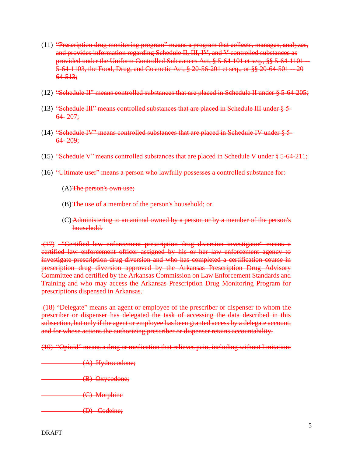- (11) "Prescription drug monitoring program" means a program that collects, manages, analyzes, and provides information regarding Schedule II, III, IV, and V controlled substances as provided under the Uniform Controlled Substances Act, § 5-64-101 et seq., §§ 5-64-1101 5-64-1103, the Food, Drug, and Cosmetic Act, § 20-56-201 et seq., or §§ 20-64-501 -- 20 64-513;
- $(12)$  "Schedule II" means controlled substances that are placed in Schedule II under  $\S 5-64-205$ ;
- (13) "Schedule III" means controlled substances that are placed in Schedule III under § 5-  $64 - 207$ ;
- (14) "Schedule IV" means controlled substances that are placed in Schedule IV under  $\S$  5- $64 - 209$ ;
- (15) "Schedule V" means controlled substances that are placed in Schedule V under  $\S 5-64-211$ ;
- (16) "Ultimate user" means a person who lawfully possesses a controlled substance for:
	- $(A)$ The person's own use;
	- (B) The use of a member of the person's household; or
	- (C) Administering to an animal owned by a person or by a member of the person's household.

(17) "Certified law enforcement prescription drug diversion investigator" means a certified law enforcement officer assigned by his or her law enforcement agency to investigate prescription drug diversion and who has completed a certification course in prescription drug diversion approved by the Arkansas Prescription Drug Advisory Committee and certified by the Arkansas Commission on Law Enforcement Standards and Training and who may access the Arkansas Prescription Drug Monitoring Program for prescriptions dispensed in Arkansas.

(18) "Delegate" means an agent or employee of the prescriber or dispenser to whom the prescriber or dispenser has delegated the task of accessing the data described in this subsection, but only if the agent or employee has been granted access by a delegate account, and for whose actions the authorizing prescriber or dispenser retains accountability.

(19) "Opioid" means a drug or medication that relieves pain, including without limitation:

- (A) Hydrocodone;
- (B) Oxycodone;
- (C) Morphine
- (D) Codeine;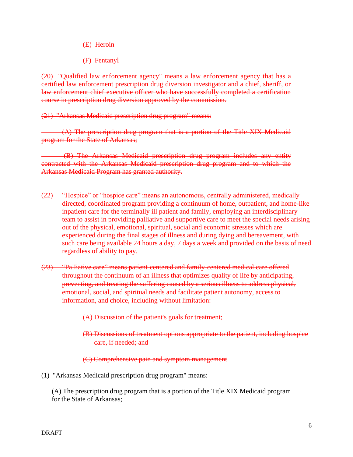(E) Heroin

(F) Fentanyl

(20) "Qualified law enforcement agency" means a law enforcement agency that has a certified law enforcement prescription drug diversion investigator and a chief, sheriff, or law enforcement chief executive officer who have successfully completed a certification course in prescription drug diversion approved by the commission.

(21) "Arkansas Medicaid prescription drug program" means:

 (A) The prescription drug program that is a portion of the Title XIX Medicaid program for the State of Arkansas;

 (B) The Arkansas Medicaid prescription drug program includes any entity contracted with the Arkansas Medicaid prescription drug program and to which the Arkansas Medicaid Program has granted authority.

- (22) "Hospice" or "hospice care" means an autonomous, centrally administered, medically directed, coordinated program providing a continuum of home, outpatient, and home-like inpatient care for the terminally ill patient and family, employing an interdisciplinary team to assist in providing palliative and supportive care to meet the special needs arising out of the physical, emotional, spiritual, social and economic stresses which are experienced during the final stages of illness and during dying and bereavement, with such care being available 24 hours a day, 7 days a week and provided on the basis of need regardless of ability to pay.
- (23) "Palliative care" means patient-centered and family-centered medical care offered throughout the continuum of an illness that optimizes quality of life by anticipating, preventing, and treating the suffering caused by a serious illness to address physical, emotional, social, and spiritual needs and facilitate patient autonomy, access to information, and choice, including without limitation:
	- (A) Discussion of the patient's goals for treatment;
	- (B) Discussions of treatment options appropriate to the patient, including hospice care, if needed; and

(C) Comprehensive pain and symptom management

(1) "Arkansas Medicaid prescription drug program" means:

(A) The prescription drug program that is a portion of the Title XIX Medicaid program for the State of Arkansas;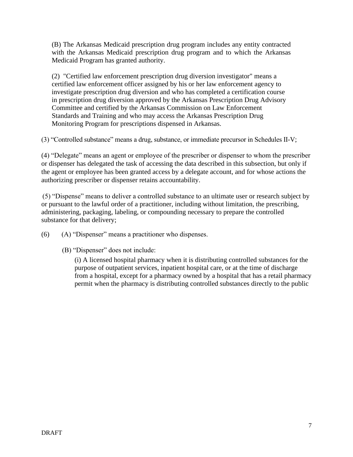(B) The Arkansas Medicaid prescription drug program includes any entity contracted with the Arkansas Medicaid prescription drug program and to which the Arkansas Medicaid Program has granted authority.

(2) "Certified law enforcement prescription drug diversion investigator" means a certified law enforcement officer assigned by his or her law enforcement agency to investigate prescription drug diversion and who has completed a certification course in prescription drug diversion approved by the Arkansas Prescription Drug Advisory Committee and certified by the Arkansas Commission on Law Enforcement Standards and Training and who may access the Arkansas Prescription Drug Monitoring Program for prescriptions dispensed in Arkansas.

(3) "Controlled substance" means a drug, substance, or immediate precursor in Schedules II-V;

(4) "Delegate" means an agent or employee of the prescriber or dispenser to whom the prescriber or dispenser has delegated the task of accessing the data described in this subsection, but only if the agent or employee has been granted access by a delegate account, and for whose actions the authorizing prescriber or dispenser retains accountability.

(5) "Dispense" means to deliver a controlled substance to an ultimate user or research subject by or pursuant to the lawful order of a practitioner, including without limitation, the prescribing, administering, packaging, labeling, or compounding necessary to prepare the controlled substance for that delivery;

(6) (A) "Dispenser" means a practitioner who dispenses.

(B) "Dispenser" does not include:

(i) A licensed hospital pharmacy when it is distributing controlled substances for the purpose of outpatient services, inpatient hospital care, or at the time of discharge from a hospital, except for a pharmacy owned by a hospital that has a retail pharmacy permit when the pharmacy is distributing controlled substances directly to the public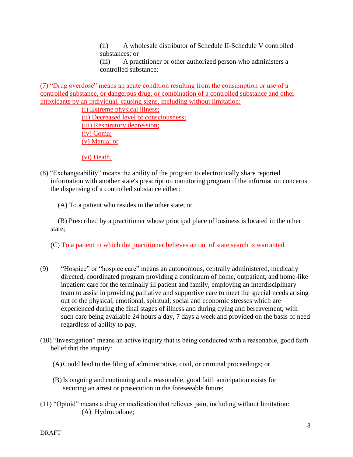(ii) A wholesale distributor of Schedule II-Schedule V controlled substances; or

(iii) A practitioner or other authorized person who administers a controlled substance;

(7) "Drug overdose" means an acute condition resulting from the consumption or use of a controlled substance, or dangerous drug, or combination of a controlled substance and other intoxicants by an individual, causing signs, including without limitation:

> (i) Extreme physical illness; (ii) Decreased level of consciousness; (iii) Respiratory depression; (iv) Coma; (v) Mania; or

(vi) Death.

- (8) "Exchangeability" means the ability of the program to electronically share reported information with another state's prescription monitoring program if the information concerns the dispensing of a controlled substance either:
	- (A) To a patient who resides in the other state; or

(B) Prescribed by a practitioner whose principal place of business is located in the other state;

(C) To a patient in which the practitioner believes an out of state search is warranted.

- (9) "Hospice" or "hospice care" means an autonomous, centrally administered, medically directed, coordinated program providing a continuum of home, outpatient, and home-like inpatient care for the terminally ill patient and family, employing an interdisciplinary team to assist in providing palliative and supportive care to meet the special needs arising out of the physical, emotional, spiritual, social and economic stresses which are experienced during the final stages of illness and during dying and bereavement, with such care being available 24 hours a day, 7 days a week and provided on the basis of need regardless of ability to pay.
- (10) "Investigation" means an active inquiry that is being conducted with a reasonable, good faith belief that the inquiry:
	- (A)Could lead to the filing of administrative, civil, or criminal proceedings; or
	- (B) Is ongoing and continuing and a reasonable, good faith anticipation exists for securing an arrest or prosecution in the foreseeable future;
- (11) "Opioid" means a drug or medication that relieves pain, including without limitation: (A) Hydrocodone;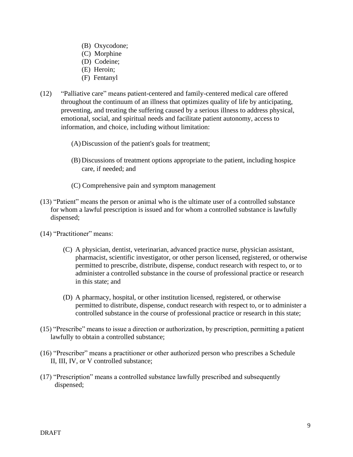- (B) Oxycodone;
- (C) Morphine
- (D) Codeine;
- (E) Heroin;
- (F) Fentanyl
- (12) "Palliative care" means patient-centered and family-centered medical care offered throughout the continuum of an illness that optimizes quality of life by anticipating, preventing, and treating the suffering caused by a serious illness to address physical, emotional, social, and spiritual needs and facilitate patient autonomy, access to information, and choice, including without limitation:
	- (A)Discussion of the patient's goals for treatment;
	- (B) Discussions of treatment options appropriate to the patient, including hospice care, if needed; and
	- (C) Comprehensive pain and symptom management
- (13) "Patient" means the person or animal who is the ultimate user of a controlled substance for whom a lawful prescription is issued and for whom a controlled substance is lawfully dispensed;
- (14) "Practitioner" means:
	- (C) A physician, dentist, veterinarian, advanced practice nurse, physician assistant, pharmacist, scientific investigator, or other person licensed, registered, or otherwise permitted to prescribe, distribute, dispense, conduct research with respect to, or to administer a controlled substance in the course of professional practice or research in this state; and
	- (D) A pharmacy, hospital, or other institution licensed, registered, or otherwise permitted to distribute, dispense, conduct research with respect to, or to administer a controlled substance in the course of professional practice or research in this state;
- (15) "Prescribe" means to issue a direction or authorization, by prescription, permitting a patient lawfully to obtain a controlled substance;
- (16) "Prescriber" means a practitioner or other authorized person who prescribes a Schedule II, III, IV, or V controlled substance;
- (17) "Prescription" means a controlled substance lawfully prescribed and subsequently dispensed;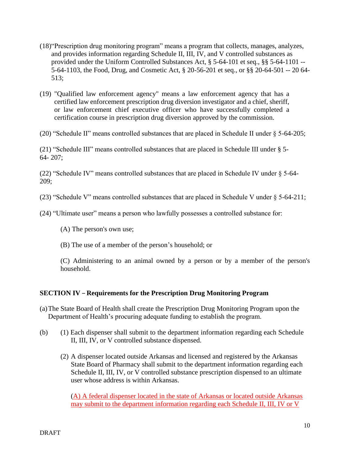- (18)"Prescription drug monitoring program" means a program that collects, manages, analyzes, and provides information regarding Schedule II, III, IV, and V controlled substances as provided under the Uniform Controlled Substances Act, § 5-64-101 et seq., §§ 5-64-1101 -- 5-64-1103, the Food, Drug, and Cosmetic Act, § 20-56-201 et seq., or §§ 20-64-501 -- 20 64- 513;
- (19) "Qualified law enforcement agency" means a law enforcement agency that has a certified law enforcement prescription drug diversion investigator and a chief, sheriff, or law enforcement chief executive officer who have successfully completed a certification course in prescription drug diversion approved by the commission.
- (20) "Schedule II" means controlled substances that are placed in Schedule II under § 5-64-205;

(21) "Schedule III" means controlled substances that are placed in Schedule III under § 5- 64- 207;

(22) "Schedule IV" means controlled substances that are placed in Schedule IV under § 5-64- 209;

(23) "Schedule V" means controlled substances that are placed in Schedule V under § 5-64-211;

- (24) "Ultimate user" means a person who lawfully possesses a controlled substance for:
	- (A) The person's own use;
	- (B) The use of a member of the person's household; or

(C) Administering to an animal owned by a person or by a member of the person's household.

#### **SECTION IV – Requirements for the Prescription Drug Monitoring Program**

- (a)The State Board of Health shall create the Prescription Drug Monitoring Program upon the Department of Health's procuring adequate funding to establish the program.
- (b) (1) Each dispenser shall submit to the department information regarding each Schedule II, III, IV, or V controlled substance dispensed.
	- (2) A dispenser located outside Arkansas and licensed and registered by the Arkansas State Board of Pharmacy shall submit to the department information regarding each Schedule II, III, IV, or V controlled substance prescription dispensed to an ultimate user whose address is within Arkansas.

(A) A federal dispenser located in the state of Arkansas or located outside Arkansas may submit to the department information regarding each Schedule II, III, IV or V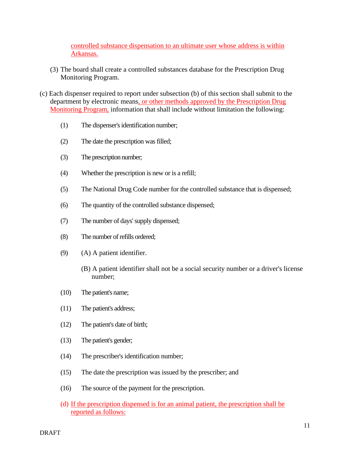controlled substance dispensation to an ultimate user whose address is within Arkansas.

- (3) The board shall create a controlled substances database for the Prescription Drug Monitoring Program.
- (c) Each dispenser required to report under subsection (b) of this section shall submit to the department by electronic means, or other methods approved by the Prescription Drug Monitoring Program, information that shall include without limitation the following:
	- (1) The dispenser's identification number;
	- (2) The date the prescription was filled;
	- (3) The prescription number;
	- (4) Whether the prescription is new or is a refill;
	- (5) The National Drug Code number for the controlled substance that is dispensed;
	- (6) The quantity of the controlled substance dispensed;
	- (7) The number of days' supply dispensed;
	- (8) The number of refills ordered;
	- (9) (A) A patient identifier.
		- (B) A patient identifier shall not be a social security number or a driver's license number;
	- (10) The patient's name;
	- (11) The patient's address;
	- (12) The patient's date of birth;
	- (13) The patient's gender;
	- (14) The prescriber's identification number;
	- (15) The date the prescription was issued by the prescriber; and
	- (16) The source of the payment for the prescription.
	- (d) If the prescription dispensed is for an animal patient, the prescription shall be reported as follows: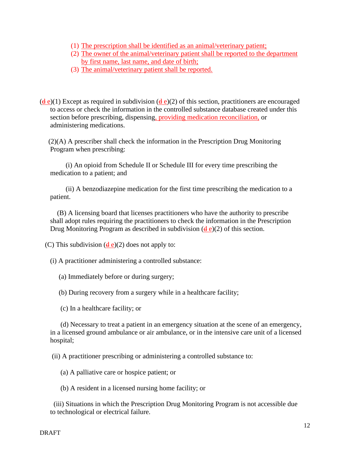- (1) The prescription shall be identified as an animal/veterinary patient;
- (2) The owner of the animal/veterinary patient shall be reported to the department by first name, last name, and date of birth;
- (3) The animal/veterinary patient shall be reported.

 $(d e)(1)$  Except as required in subdivision  $(d e)(2)$  of this section, practitioners are encouraged to access or check the information in the controlled substance database created under this section before prescribing, dispensing, providing medication reconciliation, or administering medications.

 (2)(A) A prescriber shall check the information in the Prescription Drug Monitoring Program when prescribing:

 (i) An opioid from Schedule II or Schedule III for every time prescribing the medication to a patient; and

 (ii) A benzodiazepine medication for the first time prescribing the medication to a patient.

 (B) A licensing board that licenses practitioners who have the authority to prescribe shall adopt rules requiring the practitioners to check the information in the Prescription Drug Monitoring Program as described in subdivision  $(d e)(2)$  of this section.

(C) This subdivision  $(\frac{d}{d}e)(2)$  does not apply to:

(i) A practitioner administering a controlled substance:

(a) Immediately before or during surgery;

(b) During recovery from a surgery while in a healthcare facility;

(c) In a healthcare facility; or

 (d) Necessary to treat a patient in an emergency situation at the scene of an emergency, in a licensed ground ambulance or air ambulance, or in the intensive care unit of a licensed hospital;

(ii) A practitioner prescribing or administering a controlled substance to:

(a) A palliative care or hospice patient; or

(b) A resident in a licensed nursing home facility; or

 (iii) Situations in which the Prescription Drug Monitoring Program is not accessible due to technological or electrical failure.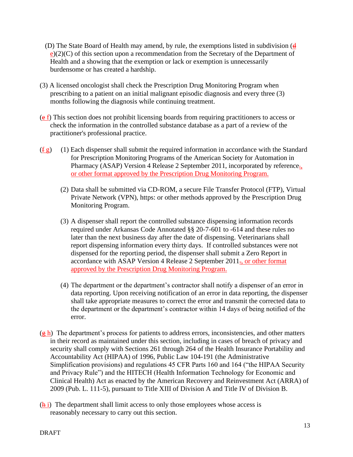- (D) The State Board of Health may amend, by rule, the exemptions listed in subdivision  $(d)$  $e(2)(C)$  of this section upon a recommendation from the Secretary of the Department of Health and a showing that the exemption or lack or exemption is unnecessarily burdensome or has created a hardship.
- (3) A licensed oncologist shall check the Prescription Drug Monitoring Program when prescribing to a patient on an initial malignant episodic diagnosis and every three (3) months following the diagnosis while continuing treatment.
- (e f) This section does not prohibit licensing boards from requiring practitioners to access or check the information in the controlled substance database as a part of a review of the practitioner's professional practice.
- $(f g)$  (1) Each dispenser shall submit the required information in accordance with the Standard for Prescription Monitoring Programs of the American Society for Automation in Pharmacy (ASAP) Version 4 Release 2 September 2011, incorporated by reference. or other format approved by the Prescription Drug Monitoring Program.
	- (2) Data shall be submitted via CD-ROM, a secure File Transfer Protocol (FTP), Virtual Private Network (VPN), https: or other methods approved by the Prescription Drug Monitoring Program.
	- (3) A dispenser shall report the controlled substance dispensing information records required under Arkansas Code Annotated §§ 20-7-601 to -614 and these rules no later than the next business day after the date of dispensing. Veterinarians shall report dispensing information every thirty days. If controlled substances were not dispensed for the reporting period, the dispenser shall submit a Zero Report in accordance with ASAP Version 4 Release 2 September 2011., or other format approved by the Prescription Drug Monitoring Program.
	- (4) The department or the department's contractor shall notify a dispenser of an error in data reporting. Upon receiving notification of an error in data reporting, the dispenser shall take appropriate measures to correct the error and transmit the corrected data to the department or the department's contractor within 14 days of being notified of the error.
- $(\frac{gh}{gh})$  The department's process for patients to address errors, inconsistencies, and other matters in their record as maintained under this section, including in cases of breach of privacy and security shall comply with Sections 261 through 264 of the Health Insurance Portability and Accountability Act (HIPAA) of 1996, Public Law 104-191 (the Administrative Simplification provisions) and regulations 45 CFR Parts 160 and 164 ("the HIPAA Security and Privacy Rule") and the HITECH (Health Information Technology for Economic and Clinical Health) Act as enacted by the American Recovery and Reinvestment Act (ARRA) of 2009 (Pub. L. 111-5), pursuant to Title XIII of Division A and Title IV of Division B.
- $(h_i)$  The department shall limit access to only those employees whose access is reasonably necessary to carry out this section.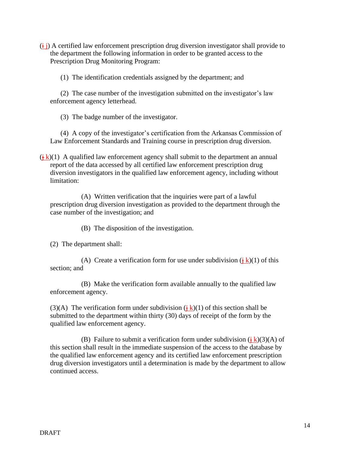$(i<sub>j</sub>)$  A certified law enforcement prescription drug diversion investigator shall provide to the department the following information in order to be granted access to the Prescription Drug Monitoring Program:

(1) The identification credentials assigned by the department; and

(2) The case number of the investigation submitted on the investigator's law enforcement agency letterhead.

(3) The badge number of the investigator.

 (4) A copy of the investigator's certification from the Arkansas Commission of Law Enforcement Standards and Training course in prescription drug diversion.

 $(\frac{1}{2}k)(1)$  A qualified law enforcement agency shall submit to the department an annual report of the data accessed by all certified law enforcement prescription drug diversion investigators in the qualified law enforcement agency, including without limitation:

(A) Written verification that the inquiries were part of a lawful prescription drug diversion investigation as provided to the department through the case number of the investigation; and

(B) The disposition of the investigation.

(2) The department shall:

(A) Create a verification form for use under subdivision  $(\frac{1}{2}k)(1)$  of this section; and

(B) Make the verification form available annually to the qualified law enforcement agency.

(3)(A) The verification form under subdivision  $(\frac{1}{2}k)(1)$  of this section shall be submitted to the department within thirty (30) days of receipt of the form by the qualified law enforcement agency.

(B) Failure to submit a verification form under subdivision  $(\frac{1}{2}k)(3)(A)$  of this section shall result in the immediate suspension of the access to the database by the qualified law enforcement agency and its certified law enforcement prescription drug diversion investigators until a determination is made by the department to allow continued access.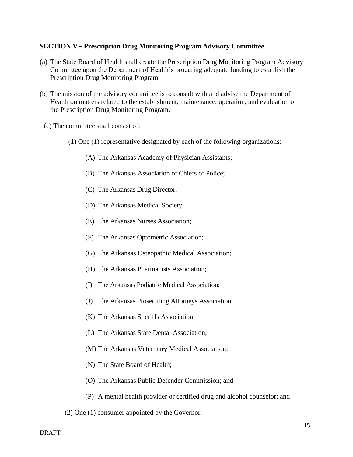#### **SECTION V – Prescription Drug Monitoring Program Advisory Committee**

- (a) The State Board of Health shall create the Prescription Drug Monitoring Program Advisory Committee upon the Department of Health's procuring adequate funding to establish the Prescription Drug Monitoring Program.
- (b) The mission of the advisory committee is to consult with and advise the Department of Health on matters related to the establishment, maintenance, operation, and evaluation of the Prescription Drug Monitoring Program.
- (c) The committee shall consist of:
	- (1) One (1) representative designated by each of the following organizations:
		- (A) The Arkansas Academy of Physician Assistants;
		- (B) The Arkansas Association of Chiefs of Police;
		- (C) The Arkansas Drug Director;
		- (D) The Arkansas Medical Society;
		- (E) The Arkansas Nurses Association;
		- (F) The Arkansas Optometric Association;
		- (G) The Arkansas Osteopathic Medical Association;
		- (H) The Arkansas Pharmacists Association;
		- (I) The Arkansas Podiatric Medical Association;
		- (J) The Arkansas Prosecuting Attorneys Association;
		- (K) The Arkansas Sheriffs Association;
		- (L) The Arkansas State Dental Association;
		- (M) The Arkansas Veterinary Medical Association;
		- (N) The State Board of Health;
		- (O) The Arkansas Public Defender Commission; and
		- (P) A mental health provider or certified drug and alcohol counselor; and
	- (2) One (1) consumer appointed by the Governor.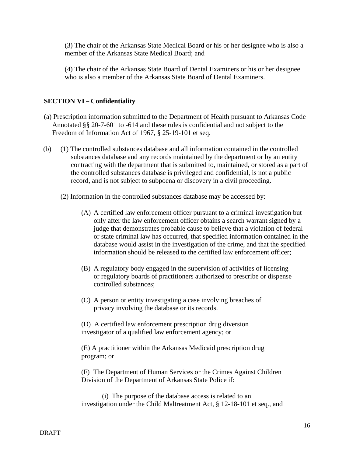(3) The chair of the Arkansas State Medical Board or his or her designee who is also a member of the Arkansas State Medical Board; and

(4) The chair of the Arkansas State Board of Dental Examiners or his or her designee who is also a member of the Arkansas State Board of Dental Examiners.

## **SECTION VI – Confidentiality**

- (a) Prescription information submitted to the Department of Health pursuant to Arkansas Code Annotated §§ 20-7-601 to -614 and these rules is confidential and not subject to the Freedom of Information Act of 1967, § 25-19-101 et seq.
- (b) (1) The controlled substances database and all information contained in the controlled substances database and any records maintained by the department or by an entity contracting with the department that is submitted to, maintained, or stored as a part of the controlled substances database is privileged and confidential, is not a public record, and is not subject to subpoena or discovery in a civil proceeding.
	- (2) Information in the controlled substances database may be accessed by:
		- (A) A certified law enforcement officer pursuant to a criminal investigation but only after the law enforcement officer obtains a search warrant signed by a judge that demonstrates probable cause to believe that a violation of federal or state criminal law has occurred, that specified information contained in the database would assist in the investigation of the crime, and that the specified information should be released to the certified law enforcement officer;
		- (B) A regulatory body engaged in the supervision of activities of licensing or regulatory boards of practitioners authorized to prescribe or dispense controlled substances;
		- (C) A person or entity investigating a case involving breaches of privacy involving the database or its records.

(D) A certified law enforcement prescription drug diversion investigator of a qualified law enforcement agency; or

(E) A practitioner within the Arkansas Medicaid prescription drug program; or

(F) The Department of Human Services or the Crimes Against Children Division of the Department of Arkansas State Police if:

(i) The purpose of the database access is related to an investigation under the Child Maltreatment Act, § 12-18-101 et seq., and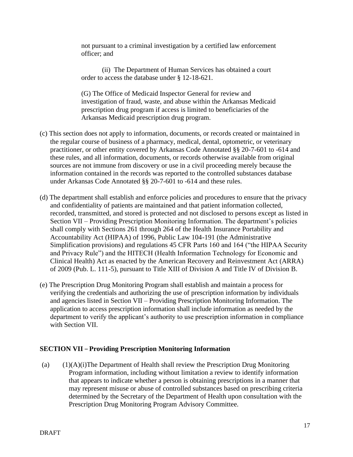not pursuant to a criminal investigation by a certified law enforcement officer; and

(ii) The Department of Human Services has obtained a court order to access the database under § 12-18-621.

(G) The Office of Medicaid Inspector General for review and investigation of fraud, waste, and abuse within the Arkansas Medicaid prescription drug program if access is limited to beneficiaries of the Arkansas Medicaid prescription drug program.

- (c) This section does not apply to information, documents, or records created or maintained in the regular course of business of a pharmacy, medical, dental, optometric, or veterinary practitioner, or other entity covered by Arkansas Code Annotated §§ 20-7-601 to -614 and these rules, and all information, documents, or records otherwise available from original sources are not immune from discovery or use in a civil proceeding merely because the information contained in the records was reported to the controlled substances database under Arkansas Code Annotated §§ 20-7-601 to -614 and these rules.
- (d) The department shall establish and enforce policies and procedures to ensure that the privacy and confidentiality of patients are maintained and that patient information collected, recorded, transmitted, and stored is protected and not disclosed to persons except as listed in Section VII – Providing Prescription Monitoring Information. The department's policies shall comply with Sections 261 through 264 of the Health Insurance Portability and Accountability Act (HIPAA) of 1996, Public Law 104-191 (the Administrative Simplification provisions) and regulations 45 CFR Parts 160 and 164 ("the HIPAA Security and Privacy Rule") and the HITECH (Health Information Technology for Economic and Clinical Health) Act as enacted by the American Recovery and Reinvestment Act (ARRA) of 2009 (Pub. L. 111-5), pursuant to Title XIII of Division A and Title IV of Division B.
- (e) The Prescription Drug Monitoring Program shall establish and maintain a process for verifying the credentials and authorizing the use of prescription information by individuals and agencies listed in Section VII – Providing Prescription Monitoring Information. The application to access prescription information shall include information as needed by the department to verify the applicant's authority to use prescription information in compliance with Section VII.

#### **SECTION VII – Providing Prescription Monitoring Information**

(a) (1)(A)(i)The Department of Health shall review the Prescription Drug Monitoring Program information, including without limitation a review to identify information that appears to indicate whether a person is obtaining prescriptions in a manner that may represent misuse or abuse of controlled substances based on prescribing criteria determined by the Secretary of the Department of Health upon consultation with the Prescription Drug Monitoring Program Advisory Committee.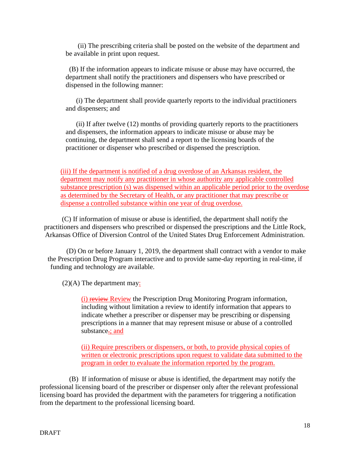(ii) The prescribing criteria shall be posted on the website of the department and be available in print upon request.

 (B) If the information appears to indicate misuse or abuse may have occurred, the department shall notify the practitioners and dispensers who have prescribed or dispensed in the following manner:

 (i) The department shall provide quarterly reports to the individual practitioners and dispensers; and

 (ii) If after twelve (12) months of providing quarterly reports to the practitioners and dispensers, the information appears to indicate misuse or abuse may be continuing, the department shall send a report to the licensing boards of the practitioner or dispenser who prescribed or dispensed the prescription.

(iii) If the department is notified of a drug overdose of an Arkansas resident, the department may notify any practitioner in whose authority any applicable controlled substance prescription (s) was dispensed within an applicable period prior to the overdose as determined by the Secretary of Health, or any practitioner that may prescribe or dispense a controlled substance within one year of drug overdose.

(C) If information of misuse or abuse is identified, the department shall notify the practitioners and dispensers who prescribed or dispensed the prescriptions and the Little Rock, Arkansas Office of Diversion Control of the United States Drug Enforcement Administration.

(D) On or before January 1, 2019, the department shall contract with a vendor to make the Prescription Drug Program interactive and to provide same-day reporting in real-time, if funding and technology are available.

(2)(A) The department may:

(i) review Review the Prescription Drug Monitoring Program information, including without limitation a review to identify information that appears to indicate whether a prescriber or dispenser may be prescribing or dispensing prescriptions in a manner that may represent misuse or abuse of a controlled substance-: and

(ii) Require prescribers or dispensers, or both, to provide physical copies of written or electronic prescriptions upon request to validate data submitted to the program in order to evaluate the information reported by the program.

 (B) If information of misuse or abuse is identified, the department may notify the professional licensing board of the prescriber or dispenser only after the relevant professional licensing board has provided the department with the parameters for triggering a notification from the department to the professional licensing board.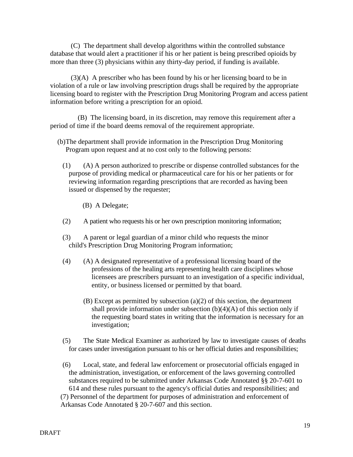(C) The department shall develop algorithms within the controlled substance database that would alert a practitioner if his or her patient is being prescribed opioids by more than three (3) physicians within any thirty-day period, if funding is available.

(3)(A) A prescriber who has been found by his or her licensing board to be in violation of a rule or law involving prescription drugs shall be required by the appropriate licensing board to register with the Prescription Drug Monitoring Program and access patient information before writing a prescription for an opioid.

 (B) The licensing board, in its discretion, may remove this requirement after a period of time if the board deems removal of the requirement appropriate.

- (b)The department shall provide information in the Prescription Drug Monitoring Program upon request and at no cost only to the following persons:
	- (1) (A) A person authorized to prescribe or dispense controlled substances for the purpose of providing medical or pharmaceutical care for his or her patients or for reviewing information regarding prescriptions that are recorded as having been issued or dispensed by the requester;
		- (B) A Delegate;
	- (2) A patient who requests his or her own prescription monitoring information;
	- (3) A parent or legal guardian of a minor child who requests the minor child's Prescription Drug Monitoring Program information;
	- (4) (A) A designated representative of a professional licensing board of the professions of the healing arts representing health care disciplines whose licensees are prescribers pursuant to an investigation of a specific individual, entity, or business licensed or permitted by that board.
		- (B) Except as permitted by subsection (a)(2) of this section, the department shall provide information under subsection  $(b)(4)(A)$  of this section only if the requesting board states in writing that the information is necessary for an investigation;
	- (5) The State Medical Examiner as authorized by law to investigate causes of deaths for cases under investigation pursuant to his or her official duties and responsibilities;
	- (6) Local, state, and federal law enforcement or prosecutorial officials engaged in the administration, investigation, or enforcement of the laws governing controlled substances required to be submitted under Arkansas Code Annotated §§ 20-7-601 to 614 and these rules pursuant to the agency's official duties and responsibilities; and

(7) Personnel of the department for purposes of administration and enforcement of Arkansas Code Annotated § 20-7-607 and this section.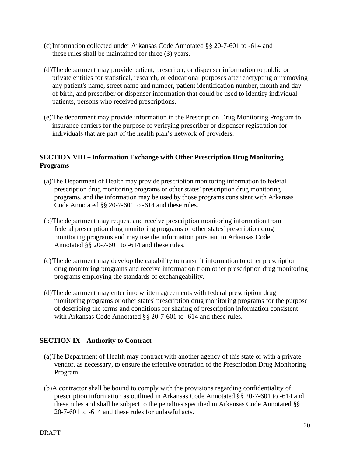- (c)Information collected under Arkansas Code Annotated §§ 20-7-601 to -614 and these rules shall be maintained for three (3) years.
- (d)The department may provide patient, prescriber, or dispenser information to public or private entities for statistical, research, or educational purposes after encrypting or removing any patient's name, street name and number, patient identification number, month and day of birth, and prescriber or dispenser information that could be used to identify individual patients, persons who received prescriptions.
- (e)The department may provide information in the Prescription Drug Monitoring Program to insurance carriers for the purpose of verifying prescriber or dispenser registration for individuals that are part of the health plan's network of providers.

#### **SECTION VIII – Information Exchange with Other Prescription Drug Monitoring Programs**

- (a)The Department of Health may provide prescription monitoring information to federal prescription drug monitoring programs or other states' prescription drug monitoring programs, and the information may be used by those programs consistent with Arkansas Code Annotated §§ 20-7-601 to -614 and these rules.
- (b)The department may request and receive prescription monitoring information from federal prescription drug monitoring programs or other states' prescription drug monitoring programs and may use the information pursuant to Arkansas Code Annotated §§ 20-7-601 to -614 and these rules.
- (c)The department may develop the capability to transmit information to other prescription drug monitoring programs and receive information from other prescription drug monitoring programs employing the standards of exchangeability.
- (d)The department may enter into written agreements with federal prescription drug monitoring programs or other states' prescription drug monitoring programs for the purpose of describing the terms and conditions for sharing of prescription information consistent with Arkansas Code Annotated §§ 20-7-601 to -614 and these rules.

## **SECTION IX – Authority to Contract**

- (a)The Department of Health may contract with another agency of this state or with a private vendor, as necessary, to ensure the effective operation of the Prescription Drug Monitoring Program.
- (b)A contractor shall be bound to comply with the provisions regarding confidentiality of prescription information as outlined in Arkansas Code Annotated §§ 20-7-601 to -614 and these rules and shall be subject to the penalties specified in Arkansas Code Annotated §§ 20-7-601 to -614 and these rules for unlawful acts.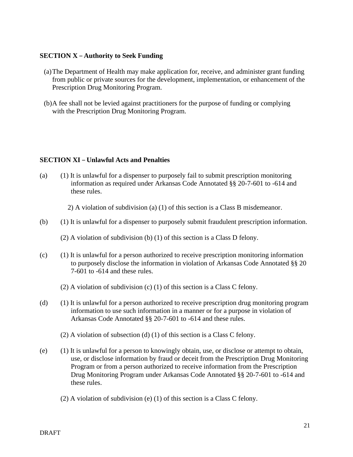#### **SECTION X – Authority to Seek Funding**

- (a)The Department of Health may make application for, receive, and administer grant funding from public or private sources for the development, implementation, or enhancement of the Prescription Drug Monitoring Program.
- (b)A fee shall not be levied against practitioners for the purpose of funding or complying with the Prescription Drug Monitoring Program.

#### **SECTION XI – Unlawful Acts and Penalties**

(a) (1) It is unlawful for a dispenser to purposely fail to submit prescription monitoring information as required under Arkansas Code Annotated §§ 20-7-601 to -614 and these rules.

2) A violation of subdivision (a) (1) of this section is a Class B misdemeanor.

(b) (1) It is unlawful for a dispenser to purposely submit fraudulent prescription information.

(2) A violation of subdivision (b) (1) of this section is a Class D felony.

- $(c)$  (1) It is unlawful for a person authorized to receive prescription monitoring information to purposely disclose the information in violation of Arkansas Code Annotated §§ 20 7-601 to -614 and these rules.
	- (2) A violation of subdivision (c) (1) of this section is a Class C felony.
- (d) (1) It is unlawful for a person authorized to receive prescription drug monitoring program information to use such information in a manner or for a purpose in violation of Arkansas Code Annotated §§ 20-7-601 to -614 and these rules.
	- (2) A violation of subsection (d) (1) of this section is a Class C felony.
- (e) (1) It is unlawful for a person to knowingly obtain, use, or disclose or attempt to obtain, use, or disclose information by fraud or deceit from the Prescription Drug Monitoring Program or from a person authorized to receive information from the Prescription Drug Monitoring Program under Arkansas Code Annotated §§ 20-7-601 to -614 and these rules.
	- (2) A violation of subdivision (e) (1) of this section is a Class C felony.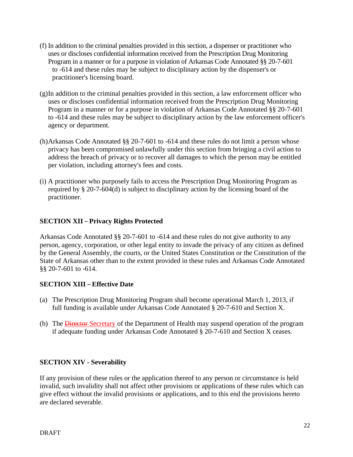- (f) In addition to the criminal penalties provided in this section, a dispenser or practitioner who uses or discloses confidential information received from the Prescription Drug Monitoring Program in a manner or for a purpose in violation of Arkansas Code Annotated §§ 20-7-601 to -614 and these rules may be subject to disciplinary action by the dispenser's or practitioner's licensing board.
- (g)In addition to the criminal penalties provided in this section, a law enforcement officer who uses or discloses confidential information received from the Prescription Drug Monitoring Program in a manner or for a purpose in violation of Arkansas Code Annotated §§ 20-7-601 to -614 and these rules may be subject to disciplinary action by the law enforcement officer's agency or department.
- (h)Arkansas Code Annotated §§ 20-7-601 to -614 and these rules do not limit a person whose privacy has been compromised unlawfully under this section from bringing a civil action to address the breach of privacy or to recover all damages to which the person may be entitled per violation, including attorney's fees and costs.
- (i) A practitioner who purposely fails to access the Prescription Drug Monitoring Program as required by § 20-7-604(d) is subject to disciplinary action by the licensing board of the practitioner.

# **SECTION XII – Privacy Rights Protected**

Arkansas Code Annotated §§ 20-7-601 to -614 and these rules do not give authority to any person, agency, corporation, or other legal entity to invade the privacy of any citizen as defined by the General Assembly, the courts, or the United States Constitution or the Constitution of the State of Arkansas other than to the extent provided in these rules and Arkansas Code Annotated §§ 20-7-601 to -614.

## **SECTION XIII – Effective Date**

- (a) The Prescription Drug Monitoring Program shall become operational March 1, 2013, if full funding is available under Arkansas Code Annotated § 20-7-610 and Section X.
- (b) The **Director Secretary** of the Department of Health may suspend operation of the program if adequate funding under Arkansas Code Annotated § 20-7-610 and Section X ceases.

## **SECTION XIV - Severability**

If any provision of these rules or the application thereof to any person or circumstance is held invalid, such invalidity shall not affect other provisions or applications of these rules which can give effect without the invalid provisions or applications, and to this end the provisions hereto are declared severable.